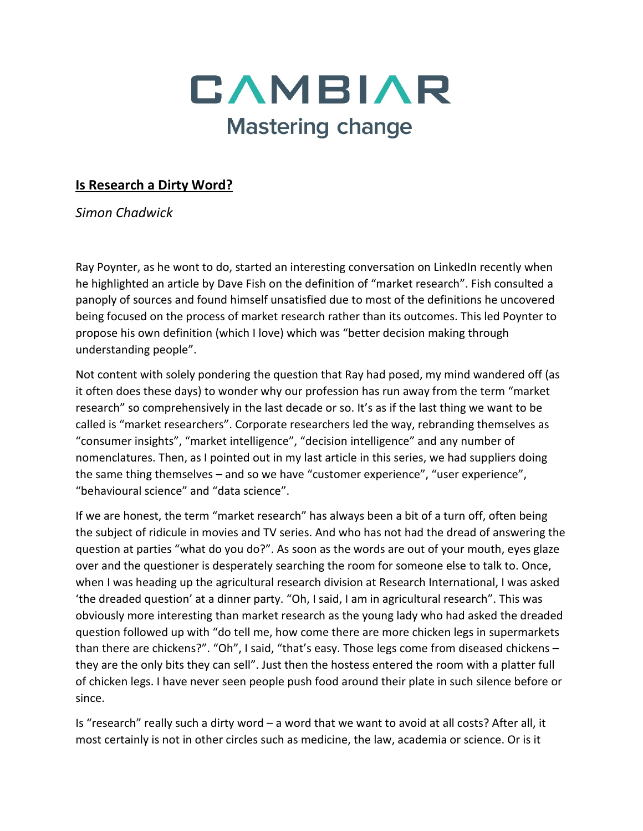

## **Is Research a Dirty Word?**

*Simon Chadwick*

Ray Poynter, as he wont to do, started an interesting conversation on LinkedIn recently when he highlighted an article by Dave Fish on the definition of "market research". Fish consulted a panoply of sources and found himself unsatisfied due to most of the definitions he uncovered being focused on the process of market research rather than its outcomes. This led Poynter to propose his own definition (which I love) which was "better decision making through understanding people".

Not content with solely pondering the question that Ray had posed, my mind wandered off (as it often does these days) to wonder why our profession has run away from the term "market research" so comprehensively in the last decade or so. It's as if the last thing we want to be called is "market researchers". Corporate researchers led the way, rebranding themselves as "consumer insights", "market intelligence", "decision intelligence" and any number of nomenclatures. Then, as I pointed out in my last article in this series, we had suppliers doing the same thing themselves – and so we have "customer experience", "user experience", "behavioural science" and "data science".

If we are honest, the term "market research" has always been a bit of a turn off, often being the subject of ridicule in movies and TV series. And who has not had the dread of answering the question at parties "what do you do?". As soon as the words are out of your mouth, eyes glaze over and the questioner is desperately searching the room for someone else to talk to. Once, when I was heading up the agricultural research division at Research International, I was asked 'the dreaded question' at a dinner party. "Oh, I said, I am in agricultural research". This was obviously more interesting than market research as the young lady who had asked the dreaded question followed up with "do tell me, how come there are more chicken legs in supermarkets than there are chickens?". "Oh", I said, "that's easy. Those legs come from diseased chickens – they are the only bits they can sell". Just then the hostess entered the room with a platter full of chicken legs. I have never seen people push food around their plate in such silence before or since.

Is "research" really such a dirty word – a word that we want to avoid at all costs? After all, it most certainly is not in other circles such as medicine, the law, academia or science. Or is it